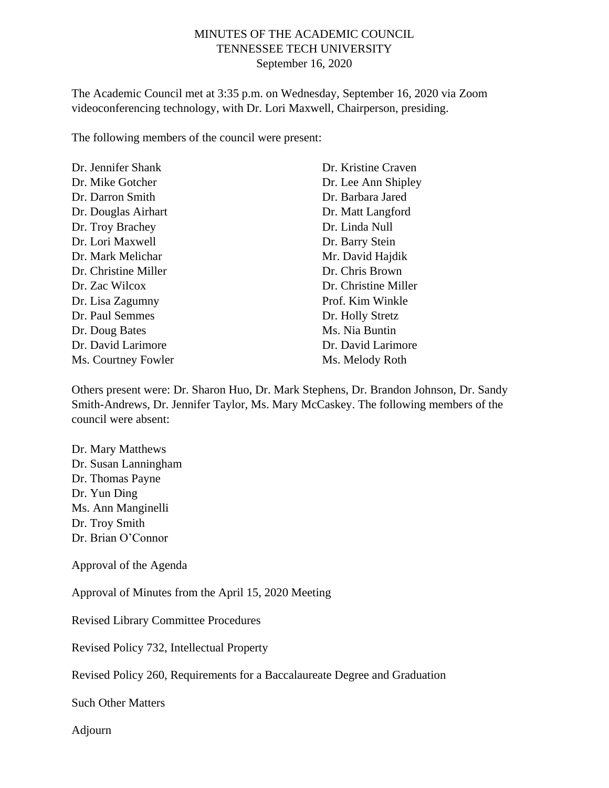# MINUTES OF THE ACADEMIC COUNCIL TENNESSEE TECH UNIVERSITY September 16, 2020

The Academic Council met at 3:35 p.m. on Wednesday, September 16, 2020 via Zoom videoconferencing technology, with Dr. Lori Maxwell, Chairperson, presiding.

The following members of the council were present:

| Dr. Jennifer Shank   | Dr. Kristine Craven  |
|----------------------|----------------------|
| Dr. Mike Gotcher     | Dr. Lee Ann Shipley  |
| Dr. Darron Smith     | Dr. Barbara Jared    |
| Dr. Douglas Airhart  | Dr. Matt Langford    |
| Dr. Troy Brachey     | Dr. Linda Null       |
| Dr. Lori Maxwell     | Dr. Barry Stein      |
| Dr. Mark Melichar    | Mr. David Hajdik     |
| Dr. Christine Miller | Dr. Chris Brown      |
| Dr. Zac Wilcox       | Dr. Christine Miller |
| Dr. Lisa Zagumny     | Prof. Kim Winkle     |
| Dr. Paul Semmes      | Dr. Holly Stretz     |
| Dr. Doug Bates       | Ms. Nia Buntin       |
| Dr. David Larimore   | Dr. David Larimore   |
| Ms. Courtney Fowler  | Ms. Melody Roth      |

Others present were: Dr. Sharon Huo, Dr. Mark Stephens, Dr. Brandon Johnson, Dr. Sandy Smith-Andrews, Dr. Jennifer Taylor, Ms. Mary McCaskey. The following members of the council were absent:

Dr. Mary Matthews Dr. Susan Lanningham Dr. Thomas Payne Dr. Yun Ding Ms. Ann Manginelli Dr. Troy Smith Dr. Brian O'Connor

Approval of the Agenda

Approval of Minutes from the April 15, 2020 Meeting

Revised Library Committee Procedures

Revised Policy 732, Intellectual Property

Revised Policy 260, Requirements for a Baccalaureate Degree and Graduation

Such Other Matters

Adjourn